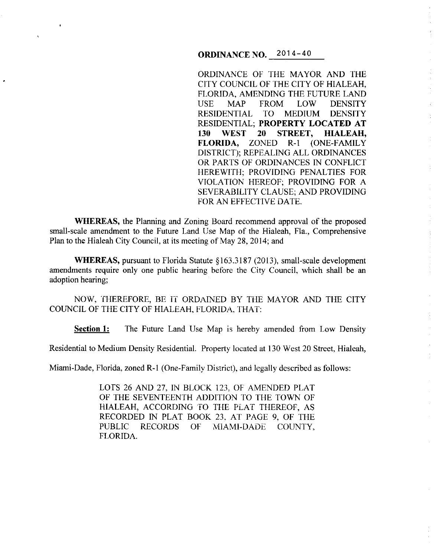# **ORDINANCE NO.** 2014-40

ORDINANCE OF THE MAYOR AND THE CITY COUNCIL OF THE CITY OF HIALEAH, FLORIDA, AMENDING THE FUTURE LAND USE MAP FROM LOW DENSITY RESIDENTIAL TO MEDIUM DENSITY RESIDENTIAL; **PROPERTY LOCATED AT 130 WEST 20 STREET, HIALEAH, FLORIDA,** ZONED R·l (ONE-FAMILY DISTRICT); REPEALING ALL ORDINANCES OR PARTS OF ORDINANCES IN CONFLICT HEREWITH; PROVIDING PENALTIES FOR VIOLATION HEREOF; PROVIDING FOR A SEVERABILITY CLAUSE; AND PROVIDING FOR AN EFFECTIVE DATE.

÷.

**WHEREAS,** the Planning and Zoning Board recommend approval of the proposed small-scale amendment to the Future Land Use Map of the Hialeah, Fla., Comprehensive Plan to the Hialeah City Council, at its meeting of May 28, 2014; and

**WHEREAS,** pursuant to Florida Statute §163.3187 (2013), small-scale development amendments require only one public hearing before the City Council, which shall be an adoption hearing;

NOW, THEREFORE, BE IT ORDAINED BY THE MAYOR AND THE CITY COUNCIL OF THE CITY OF HIALEAH, FLORIDA, THAT:

**Section 1:** The Future Land Use Map is hereby amended from Low Density

Residential to Medium Density Residential. Property located at 130 West 20 Street, Hialeah,

Miami-Dade, Florida, zoned R-1 (One-Family District), and legally described as follows:

LOTS 26 AND 27, IN BLOCK 123, OF AMENDED PLAT OF THE SEVENTEENTH ADDITION TO THE TOWN OF HIALEAH, ACCORDING TO THE PLAT THEREOF, AS RECORDED IN PLAT BOOK 23, AT PAGE 9, OF THE PUBLIC RECORDS OF MIAMI-DADE COUNTY, FLORIDA.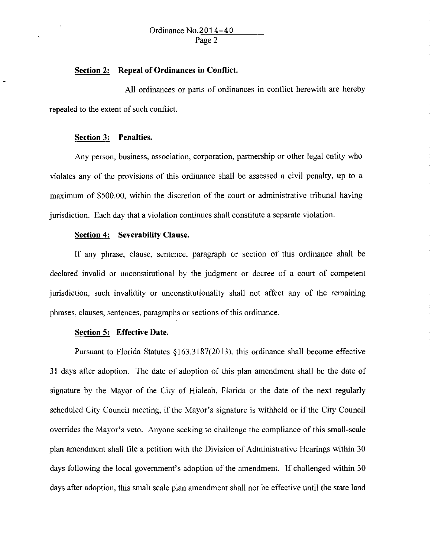### **Section 2: Repeal of Ordinances in Conflict.**

All ordinances or parts of ordinances in conflict herewith are hereby repealed to the extent of such conflict.

## **Section 3: Penalties.**

Any person, business, association, corporation, partnership or other legal entity who violates any of the provisions of this ordinance shall be assessed a civil penalty, up to a maximwn of \$500.00, within the discretion of the court or administrative tribunal having jurisdiction. Each day that a violation continues shall constitute a separate violation.

### **Section 4: Severability Clause.**

If any phrase, clause, sentence, paragraph or section of this ordinance shall be declared invalid or unconstitutional by the judgment or decree of a court of competent jurisdiction, such invalidity or unconstitutionality shall not affect any of the remaining phrases, clauses, sentences, paragraphs or sections of this ordinance.

### **Section 5: Effective Date.**

Pursuant to Florida Statutes §163.3187(2013), this ordinance shall become effective 31 days after adoption. The date of adoption of this plan amendment shall be the date of signature by the Mayor of the City of Hialeah, Florida or the date of the next regularly scheduled City Councii meeting, if the Mayor's signature is withheld or if the City Council overrides the Mayor's veto. Anyone seeking to chailenge the compliance of this small-scale plan amendment shall file a petition with the Division of Administrative Hearings within 30 days following the local government's adoption of the amendment. If challenged within 30 days after adoption, this small scale plan amendment shall not be effective until the state land